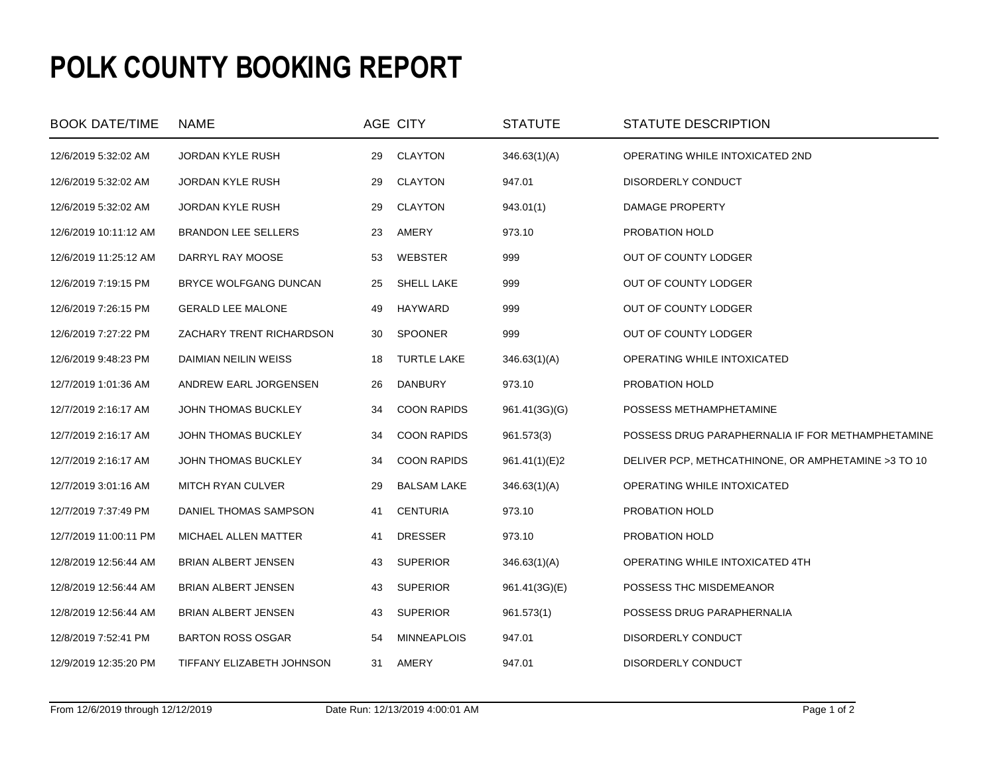## **POLK COUNTY BOOKING REPORT**

| <b>BOOK DATE/TIME</b> | <b>NAME</b>                |    | AGE CITY           | <b>STATUTE</b> | STATUTE DESCRIPTION                                 |
|-----------------------|----------------------------|----|--------------------|----------------|-----------------------------------------------------|
| 12/6/2019 5:32:02 AM  | <b>JORDAN KYLE RUSH</b>    | 29 | CLAYTON            | 346.63(1)(A)   | OPERATING WHILE INTOXICATED 2ND                     |
| 12/6/2019 5:32:02 AM  | <b>JORDAN KYLE RUSH</b>    | 29 | <b>CLAYTON</b>     | 947.01         | DISORDERLY CONDUCT                                  |
| 12/6/2019 5:32:02 AM  | <b>JORDAN KYLE RUSH</b>    | 29 | <b>CLAYTON</b>     | 943.01(1)      | DAMAGE PROPERTY                                     |
| 12/6/2019 10:11:12 AM | <b>BRANDON LEE SELLERS</b> | 23 | AMERY              | 973.10         | PROBATION HOLD                                      |
| 12/6/2019 11:25:12 AM | DARRYL RAY MOOSE           | 53 | WEBSTER            | 999            | OUT OF COUNTY LODGER                                |
| 12/6/2019 7:19:15 PM  | BRYCE WOLFGANG DUNCAN      | 25 | SHELL LAKE         | 999            | OUT OF COUNTY LODGER                                |
| 12/6/2019 7:26:15 PM  | <b>GERALD LEE MALONE</b>   | 49 | HAYWARD            | 999            | OUT OF COUNTY LODGER                                |
| 12/6/2019 7:27:22 PM  | ZACHARY TRENT RICHARDSON   | 30 | SPOONER            | 999            | OUT OF COUNTY LODGER                                |
| 12/6/2019 9:48:23 PM  | DAIMIAN NEILIN WEISS       | 18 | <b>TURTLE LAKE</b> | 346.63(1)(A)   | OPERATING WHILE INTOXICATED                         |
| 12/7/2019 1:01:36 AM  | ANDREW EARL JORGENSEN      | 26 | DANBURY            | 973.10         | PROBATION HOLD                                      |
| 12/7/2019 2:16:17 AM  | <b>JOHN THOMAS BUCKLEY</b> | 34 | <b>COON RAPIDS</b> | 961.41(3G)(G)  | POSSESS METHAMPHETAMINE                             |
| 12/7/2019 2:16:17 AM  | JOHN THOMAS BUCKLEY        | 34 | <b>COON RAPIDS</b> | 961.573(3)     | POSSESS DRUG PARAPHERNALIA IF FOR METHAMPHETAMINE   |
| 12/7/2019 2:16:17 AM  | <b>JOHN THOMAS BUCKLEY</b> | 34 | <b>COON RAPIDS</b> | 961.41(1)(E)2  | DELIVER PCP, METHCATHINONE, OR AMPHETAMINE >3 TO 10 |
| 12/7/2019 3:01:16 AM  | MITCH RYAN CULVER          | 29 | <b>BALSAM LAKE</b> | 346.63(1)(A)   | OPERATING WHILE INTOXICATED                         |
| 12/7/2019 7:37:49 PM  | DANIEL THOMAS SAMPSON      | 41 | <b>CENTURIA</b>    | 973.10         | PROBATION HOLD                                      |
| 12/7/2019 11:00:11 PM | MICHAEL ALLEN MATTER       | 41 | <b>DRESSER</b>     | 973.10         | PROBATION HOLD                                      |
| 12/8/2019 12:56:44 AM | BRIAN ALBERT JENSEN        | 43 | <b>SUPERIOR</b>    | 346.63(1)(A)   | OPERATING WHILE INTOXICATED 4TH                     |
| 12/8/2019 12:56:44 AM | BRIAN ALBERT JENSEN        | 43 | <b>SUPERIOR</b>    | 961.41(3G)(E)  | POSSESS THC MISDEMEANOR                             |
| 12/8/2019 12:56:44 AM | <b>BRIAN ALBERT JENSEN</b> | 43 | <b>SUPERIOR</b>    | 961.573(1)     | POSSESS DRUG PARAPHERNALIA                          |
| 12/8/2019 7:52:41 PM  | <b>BARTON ROSS OSGAR</b>   | 54 | <b>MINNEAPLOIS</b> | 947.01         | <b>DISORDERLY CONDUCT</b>                           |
| 12/9/2019 12:35:20 PM | TIFFANY ELIZABETH JOHNSON  | 31 | AMERY              | 947.01         | DISORDERLY CONDUCT                                  |